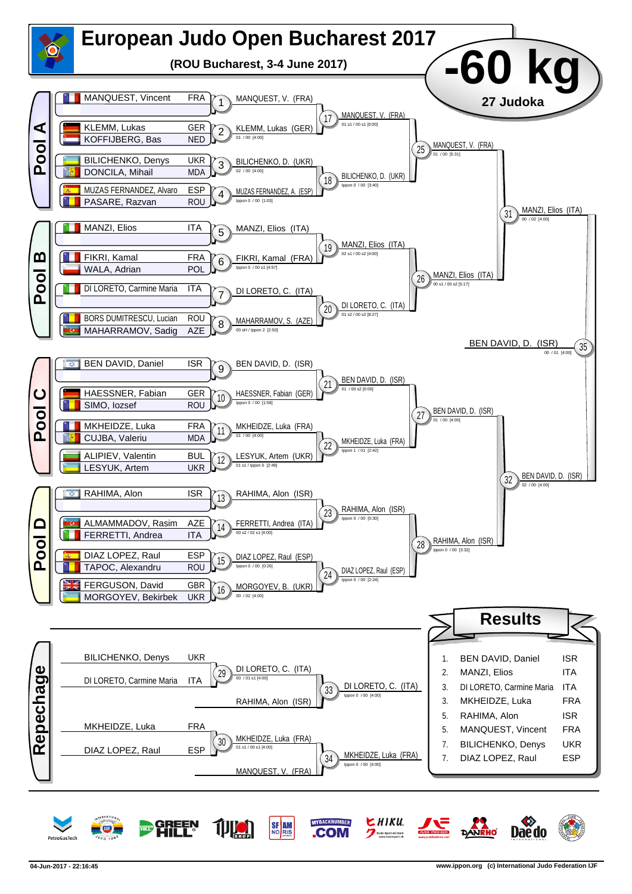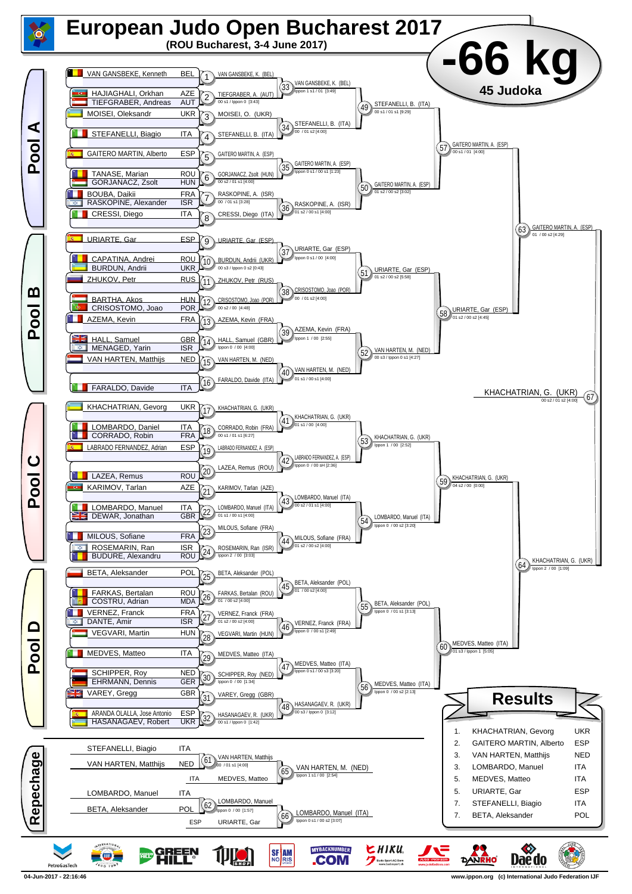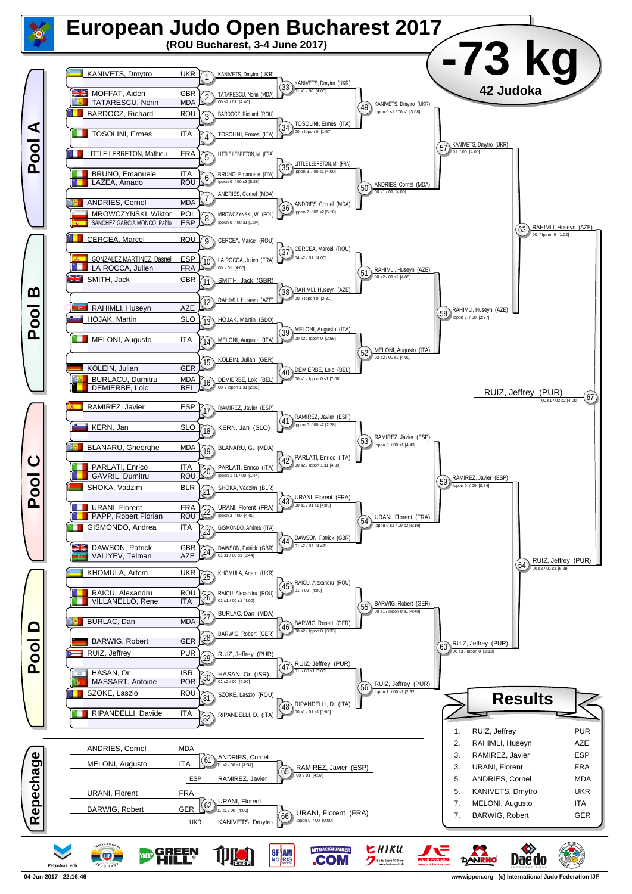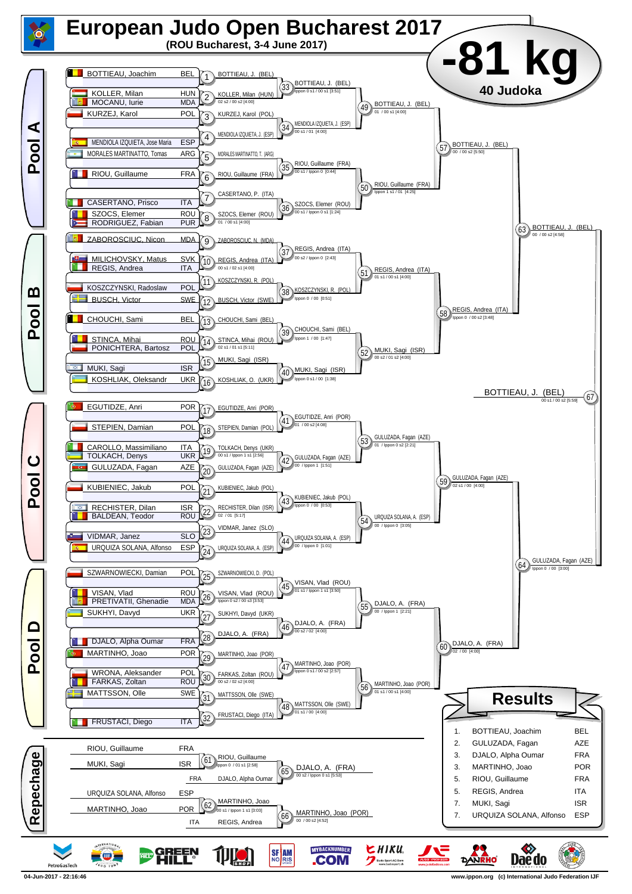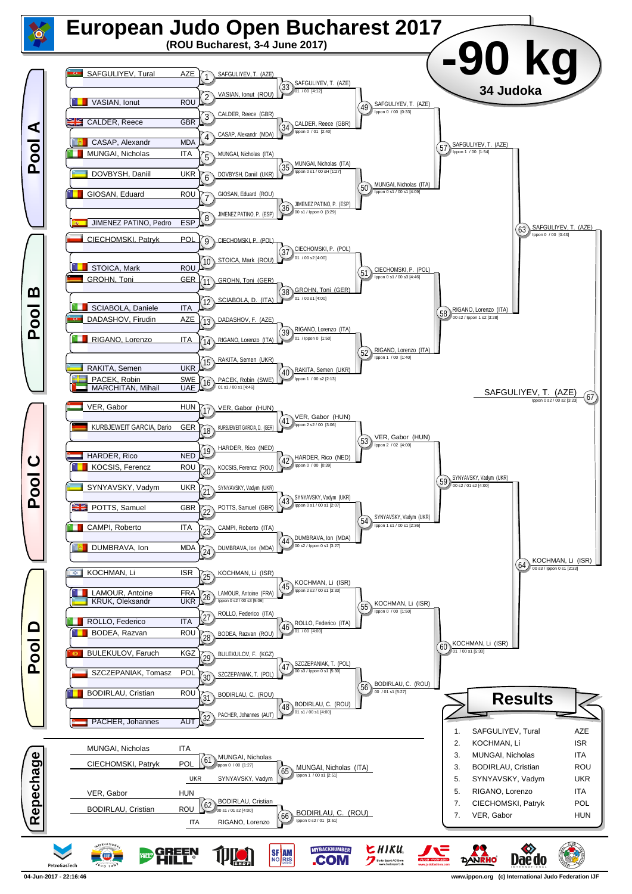

**<sup>04-</sup>Jun-2017 - 22:16:46 www.ippon.org (c) International Judo Federation IJF**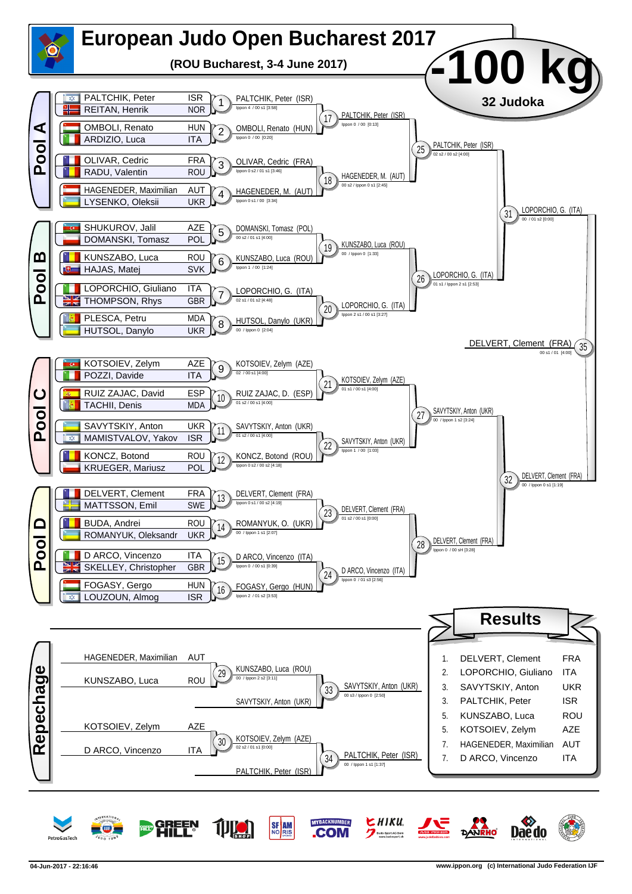